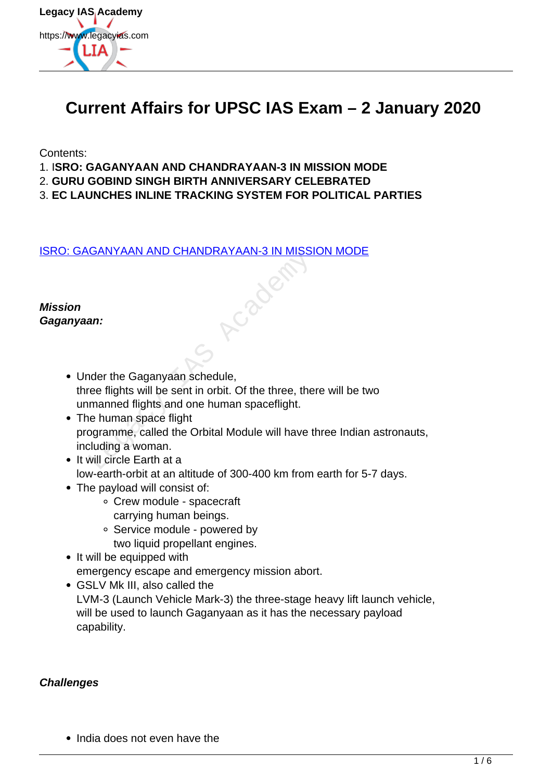

# **Current Affairs for UPSC IAS Exam – 2 January 2020**

Contents:

- 1. I**SRO: GAGANYAAN AND CHANDRAYAAN-3 IN MISSION MODE**
- 2. **GURU GOBIND SINGH BIRTH ANNIVERSARY CELEBRATED**
- 3. **EC LAUNCHES INLINE TRACKING SYSTEM FOR POLITICAL PARTIES**

[ISRO: GAGANYAAN AND CHANDRAYAAN-3 IN MISSION MODE](https://www.legacyias.com/isro-gaganyaan-and-chandrayaan-3-in-mission-mode/)

**Mission Gaganyaan:**

- Under the Gaganyaan schedule, three flights will be sent in orbit. Of the three, there will be two unmanned flights and one human spaceflight.
- The human space flight programme, called the Orbital Module will have three Indian astronauts, including a woman. Legacy IAS Academy
- It will circle Earth at a
	- low-earth-orbit at an altitude of 300-400 km from earth for 5-7 days.
- The payload will consist of:
	- Crew module spacecraft carrying human beings.
	- Service module powered by two liquid propellant engines.
- It will be equipped with emergency escape and emergency mission abort.
- GSLV Mk III, also called the LVM-3 (Launch Vehicle Mark-3) the three-stage heavy lift launch vehicle, will be used to launch Gaganyaan as it has the necessary payload capability.

#### **Challenges**

• India does not even have the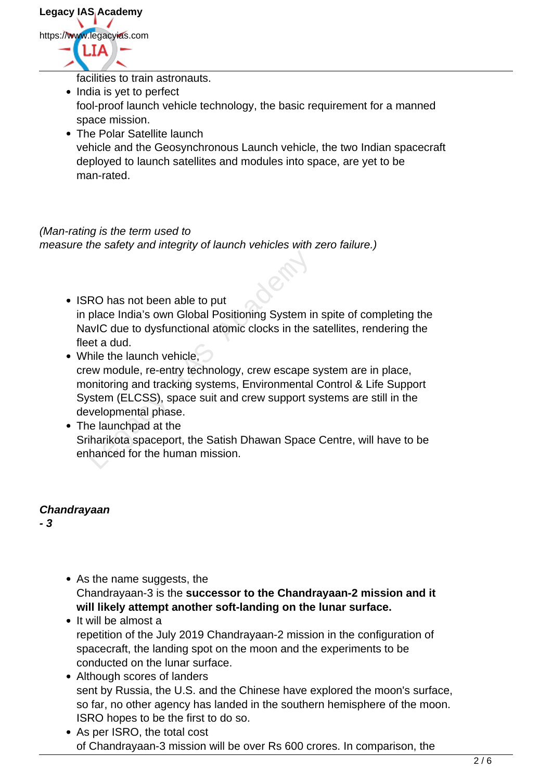facilities to train astronauts.

- India is yet to perfect fool-proof launch vehicle technology, the basic requirement for a manned space mission.
- The Polar Satellite launch vehicle and the Geosynchronous Launch vehicle, the two Indian spacecraft deployed to launch satellites and modules into space, are yet to be man-rated.

## (Man-rating is the term used to measure the safety and integrity of launch vehicles with zero failure.)

- ISRO has not been able to put in place India's own Global Positioning System in spite of completing the NavIC due to dysfunctional atomic clocks in the satellites, rendering the fleet a dud.
- While the launch vehicle. crew module, re-entry technology, crew escape system are in place, monitoring and tracking systems, Environmental Control & Life Support System (ELCSS), space suit and crew support systems are still in the developmental phase. RO has not been able to put<br>place India's own Global Positioning System in<br>avIC due to dysfunctional atomic clocks in the s<br>et a dud.<br>hile the launch vehicle,<br>we module, re-entry technology, crew escape s<br>onitoring and tra
- The launchpad at the Sriharikota spaceport, the Satish Dhawan Space Centre, will have to be enhanced for the human mission.

### **Chandrayaan**

**- 3**

- As the name suggests, the Chandrayaan-3 is the **successor to the Chandrayaan-2 mission and it will likely attempt another soft-landing on the lunar surface.**
- It will be almost a repetition of the July 2019 Chandrayaan-2 mission in the configuration of spacecraft, the landing spot on the moon and the experiments to be conducted on the lunar surface.
- Although scores of landers sent by Russia, the U.S. and the Chinese have explored the moon's surface, so far, no other agency has landed in the southern hemisphere of the moon. ISRO hopes to be the first to do so.
- As per ISRO, the total cost of Chandrayaan-3 mission will be over Rs 600 crores. In comparison, the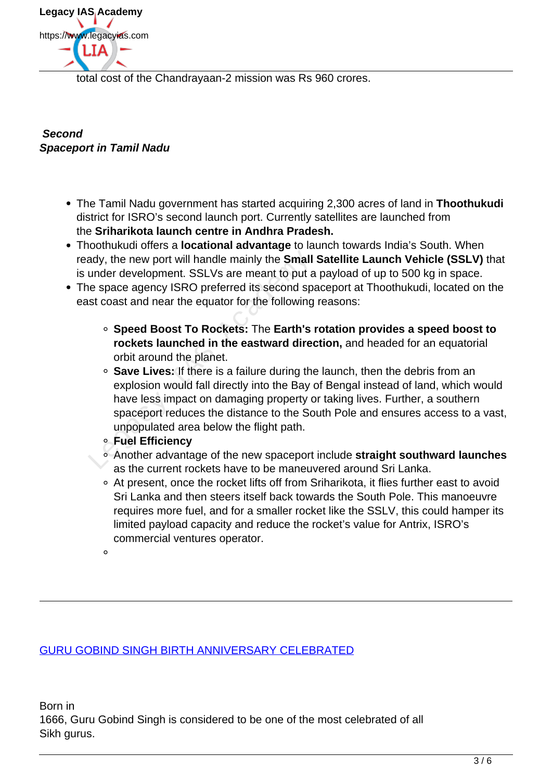

total cost of the Chandrayaan-2 mission was Rs 960 crores.

### **Second Spaceport in Tamil Nadu**

- The Tamil Nadu government has started acquiring 2,300 acres of land in **Thoothukudi** district for ISRO's second launch port. Currently satellites are launched from the **Sriharikota launch centre in Andhra Pradesh.**
- Thoothukudi offers a **locational advantage** to launch towards India's South. When ready, the new port will handle mainly the **Small Satellite Launch Vehicle (SSLV)** that is under development. SSLVs are meant to put a payload of up to 500 kg in space.
- The space agency ISRO preferred its second spaceport at Thoothukudi, located on the east coast and near the equator for the following reasons:
	- **Speed Boost To Rockets:** The **Earth's rotation provides a speed boost to rockets launched in the eastward direction,** and headed for an equatorial orbit around the planet.
- **Save Lives:** If there is a failure during the launch, then the debris from an explosion would fall directly into the Bay of Bengal instead of land, which would have less impact on damaging property or taking lives. Further, a southern spaceport reduces the distance to the South Pole and ensures access to a vast, unpopulated area below the flight path. ady, the new port will handle mainly the **Small**<br>under development. SSLVs are meant to put a<br>e space agency ISRO preferred its second space<br>is coast and near the equator for the following<br>or **Speed Boost To Rockets:** The
	- **Fuel Efficiency**
	- Another advantage of the new spaceport include **straight southward launches** as the current rockets have to be maneuvered around Sri Lanka.
	- At present, once the rocket lifts off from Sriharikota, it flies further east to avoid Sri Lanka and then steers itself back towards the South Pole. This manoeuvre requires more fuel, and for a smaller rocket like the SSLV, this could hamper its limited payload capacity and reduce the rocket's value for Antrix, ISRO's commercial ventures operator.
	- $\circ$

GURU GOBIND SINGH BIRTH ANNIVERSARY CELEBRATED

Born in 1666, Guru Gobind Singh is considered to be one of the most celebrated of all Sikh gurus.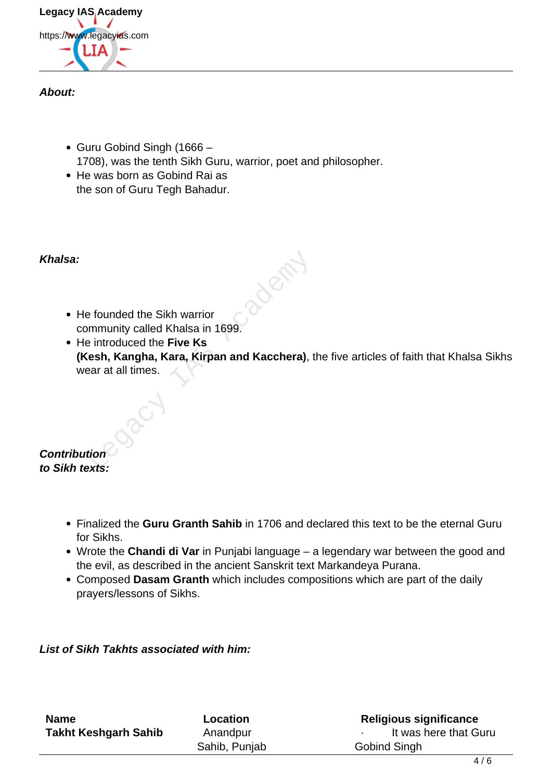

#### **About:**

- Guru Gobind Singh (1666 1708), was the tenth Sikh Guru, warrior, poet and philosopher.
- He was born as Gobind Rai as the son of Guru Tegh Bahadur.

### **Khalsa:**

- He founded the Sikh warrior community called Khalsa in 1699.
- He introduced the **Five Ks (Kesh, Kangha, Kara, Kirpan and Kacchera)**, the five articles of faith that Khalsa Sikhs wear at all times. Exploration of the Sikh warrior<br>
mmunity called Khalsa in 1699.<br>
Exploration of the Five Ks<br>
Sesh, Kangha, Kara, Kirpan and Kacchera), the art all times.<br>
Exploration of the Sixter State of the Sixter State of the Sixter S

#### **Contribution to Sikh texts:**

- Finalized the **Guru Granth Sahib** in 1706 and declared this text to be the eternal Guru for Sikhs.
- Wrote the **Chandi di Var** in Punjabi language a legendary war between the good and the evil, as described in the ancient Sanskrit text Markandeya Purana.
- Composed **Dasam Granth** which includes compositions which are part of the daily prayers/lessons of Sikhs.

### **List of Sikh Takhts associated with him:**

| <b>Name</b>                 | Location      | <b>Religious significance</b> |
|-----------------------------|---------------|-------------------------------|
| <b>Takht Keshgarh Sahib</b> | Anandpur      | It was here that Guru         |
|                             | Sahib, Punjab | Gobind Singh                  |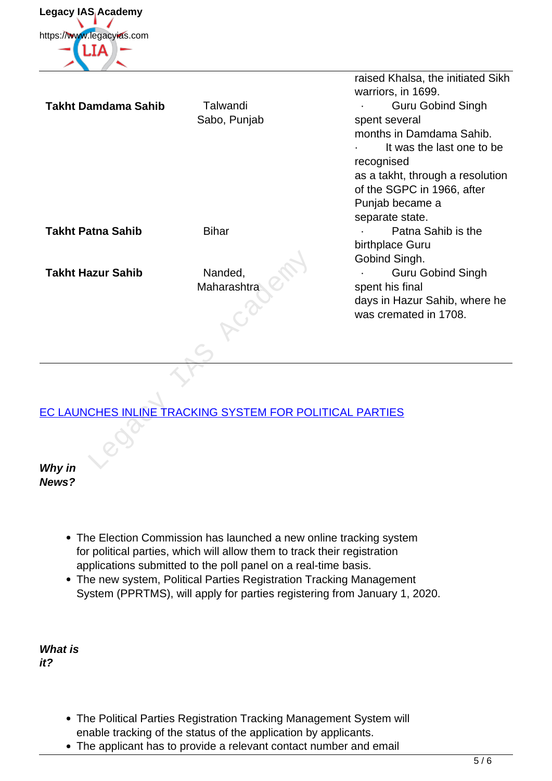

raised Khalsa, the initiated Sikh warriors, in 1699. **Takht Damdama Sahib** Talwandi Sabo, Punjab · Guru Gobind Singh spent several months in Damdama Sahib. It was the last one to be recognised as a takht, through a resolution of the SGPC in 1966, after Punjab became a separate state. **Takht Patna Sahib Bihar Bihar Bihar Bihar Patna Sahib is the** birthplace Guru Gobind Singh. **Takht Hazur Sahib** Nanded, Maharashtra · Guru Gobind Singh spent his final days in Hazur Sahib, where he was cremated in 1708. azur Sahib<br>
Maharashtra<br>
Maharashtra<br>
CHES INLINE TRACKING SYSTEM FOR POL

# EC LAUNCHES INLINE TRACKING SYSTEM FOR POLITICAL PARTIES

**Why in News?**

- The Election Commission has launched a new online tracking system for political parties, which will allow them to track their registration applications submitted to the poll panel on a real-time basis.
- The new system, Political Parties Registration Tracking Management System (PPRTMS), will apply for parties registering from January 1, 2020.

**What is it?** 

- The Political Parties Registration Tracking Management System will enable tracking of the status of the application by applicants.
- The applicant has to provide a relevant contact number and email